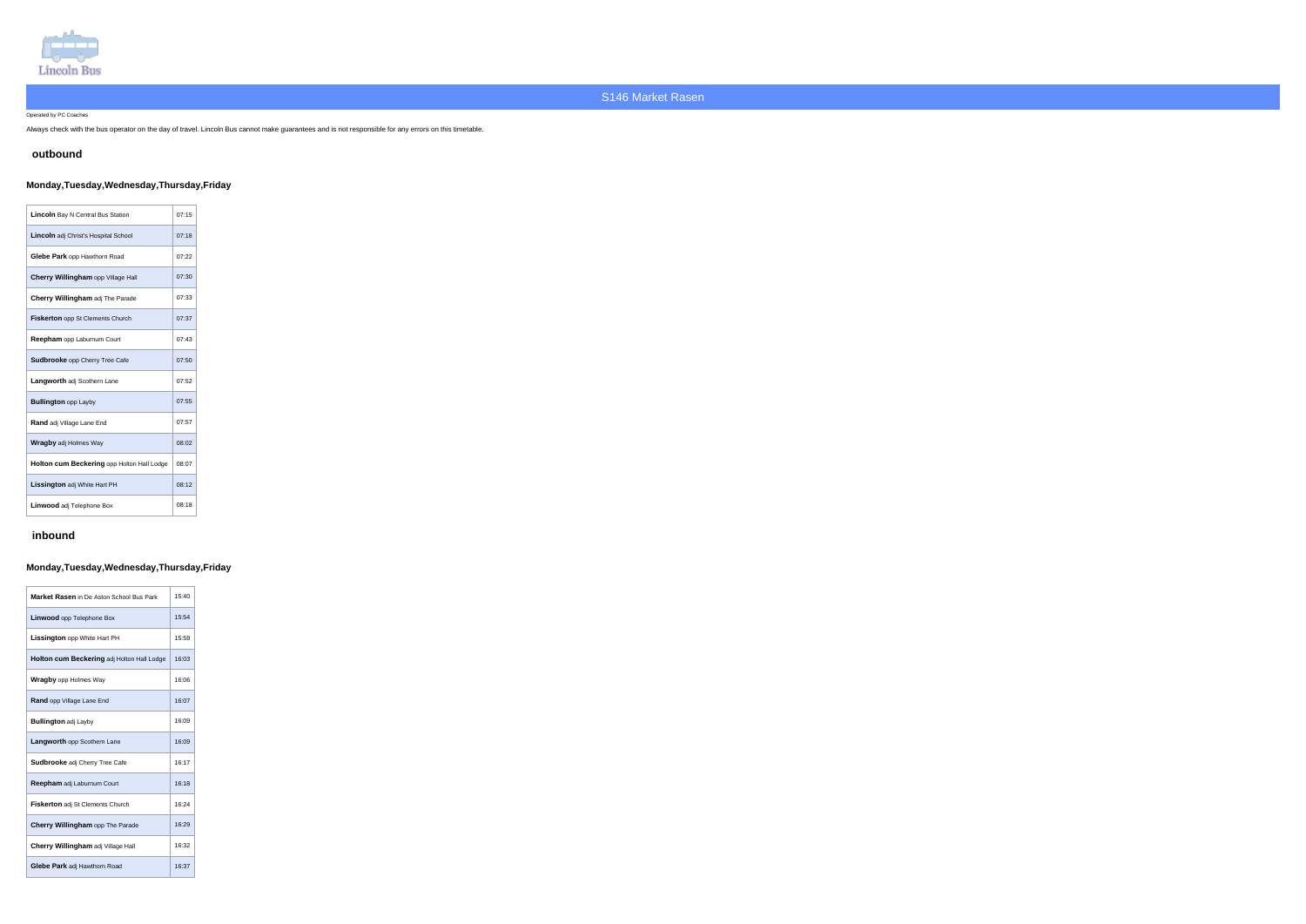

Operated by PC Coaches

Always check with the bus operator on the day of travel. Lincoln Bus cannot make guarantees and is not responsible for any errors on this timetable.

### **outbound**

# **Monday,Tuesday,Wednesday,Thursday,Friday**

| <b>Lincoln</b> Bay N Central Bus Station    | 07:15 |
|---------------------------------------------|-------|
| <b>Lincoln</b> adj Christ's Hospital School | 07:18 |
| Glebe Park opp Hawthorn Road                | 07:22 |
| Cherry Willingham opp Village Hall          | 07:30 |
| Cherry Willingham adj The Parade            | 07:33 |
| <b>Fiskerton opp St Clements Church</b>     | 07:37 |
| Reepham opp Laburnum Court                  | 07:43 |
| <b>Sudbrooke</b> opp Cherry Tree Cafe       | 07:50 |
| <b>Langworth adj Scothern Lane</b>          | 07:52 |
| <b>Bullington opp Layby</b>                 | 07:55 |
| <b>Rand</b> adj Village Lane End            | 07:57 |
| <b>Wragby adj Holmes Way</b>                | 08:02 |
| Holton cum Beckering opp Holton Hall Lodge  | 08:07 |
| Lissington adj White Hart PH                | 08:12 |
| Linwood adj Telephone Box                   | 08:18 |

# **inbound**

**Contractor** 

# **Monday,Tuesday,Wednesday,Thursday,Friday**

| Market Rasen in De Aston School Bus Park   | 15:40 |
|--------------------------------------------|-------|
| <b>Linwood</b> opp Telephone Box           | 15.54 |
| <b>Lissington</b> opp White Hart PH        | 15:59 |
| Holton cum Beckering adj Holton Hall Lodge | 16.03 |
| <b>Wragby</b> opp Holmes Way               | 16:06 |
| <b>Rand opp Village Lane End</b>           | 16:07 |
| <b>Bullington adj Layby</b>                | 16:09 |
| Langworth opp Scothern Lane                | 16:09 |
| <b>Sudbrooke</b> adj Cherry Tree Cafe      | 16:17 |
| Reepham adj Laburnum Court                 | 16:18 |
| <b>Fiskerton</b> adj St Clements Church    | 16:24 |
| Cherry Willingham opp The Parade           | 16:29 |
| Cherry Willingham adj Village Hall         | 16:32 |
| Glebe Park adj Hawthorn Road               | 16:37 |